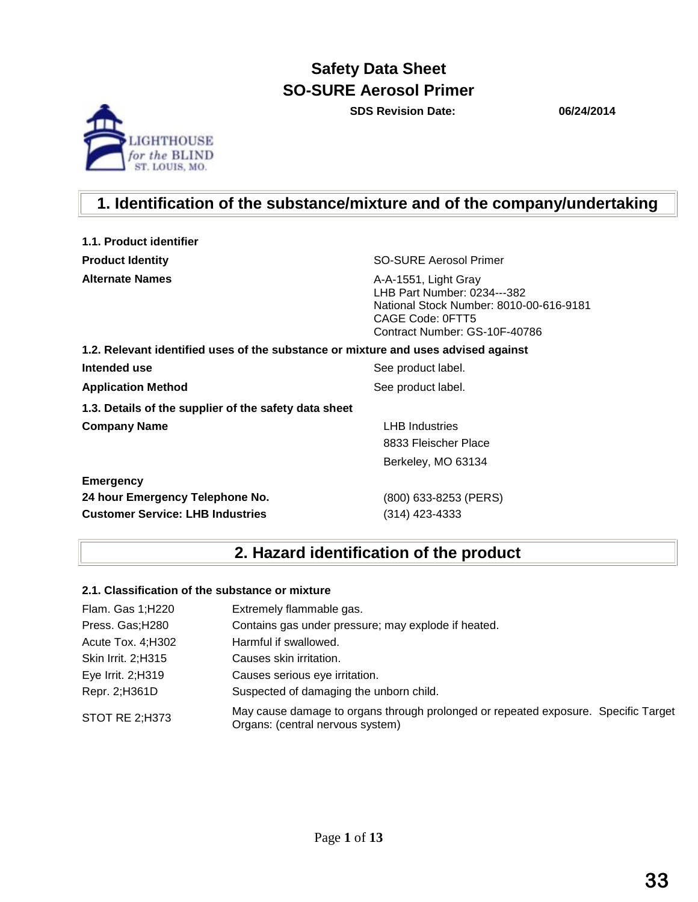**SDS Revision Date: 06/24/2014**



## **1. Identification of the substance/mixture and of the company/undertaking**

| 1.1. Product identifier                                                            |                                                                                                                                                     |
|------------------------------------------------------------------------------------|-----------------------------------------------------------------------------------------------------------------------------------------------------|
| <b>Product Identity</b>                                                            | SO-SURE Aerosol Primer                                                                                                                              |
| <b>Alternate Names</b>                                                             | A-A-1551, Light Gray<br>LHB Part Number: 0234---382<br>National Stock Number: 8010-00-616-9181<br>CAGE Code: 0FTT5<br>Contract Number: GS-10F-40786 |
| 1.2. Relevant identified uses of the substance or mixture and uses advised against |                                                                                                                                                     |
| Intended use                                                                       | See product label.                                                                                                                                  |
| <b>Application Method</b>                                                          | See product label.                                                                                                                                  |
| 1.3. Details of the supplier of the safety data sheet                              |                                                                                                                                                     |
| <b>Company Name</b>                                                                | <b>LHB</b> Industries                                                                                                                               |
|                                                                                    | 8833 Fleischer Place                                                                                                                                |
|                                                                                    | Berkeley, MO 63134                                                                                                                                  |
| <b>Emergency</b>                                                                   |                                                                                                                                                     |
| 24 hour Emergency Telephone No.                                                    | (800) 633-8253 (PERS)                                                                                                                               |
| <b>Customer Service: LHB Industries</b>                                            | (314) 423-4333                                                                                                                                      |

## **2. Hazard identification of the product**

#### **2.1. Classification of the substance or mixture**

| Flam. Gas 1;H220      | Extremely flammable gas.                                                                                               |
|-----------------------|------------------------------------------------------------------------------------------------------------------------|
| Press. Gas; H280      | Contains gas under pressure; may explode if heated.                                                                    |
| Acute Tox. 4; H302    | Harmful if swallowed.                                                                                                  |
| Skin Irrit. 2;H315    | Causes skin irritation.                                                                                                |
| Eye Irrit. 2;H319     | Causes serious eye irritation.                                                                                         |
| Repr. 2;H361D         | Suspected of damaging the unborn child.                                                                                |
| <b>STOT RE 2;H373</b> | May cause damage to organs through prolonged or repeated exposure. Specific Target<br>Organs: (central nervous system) |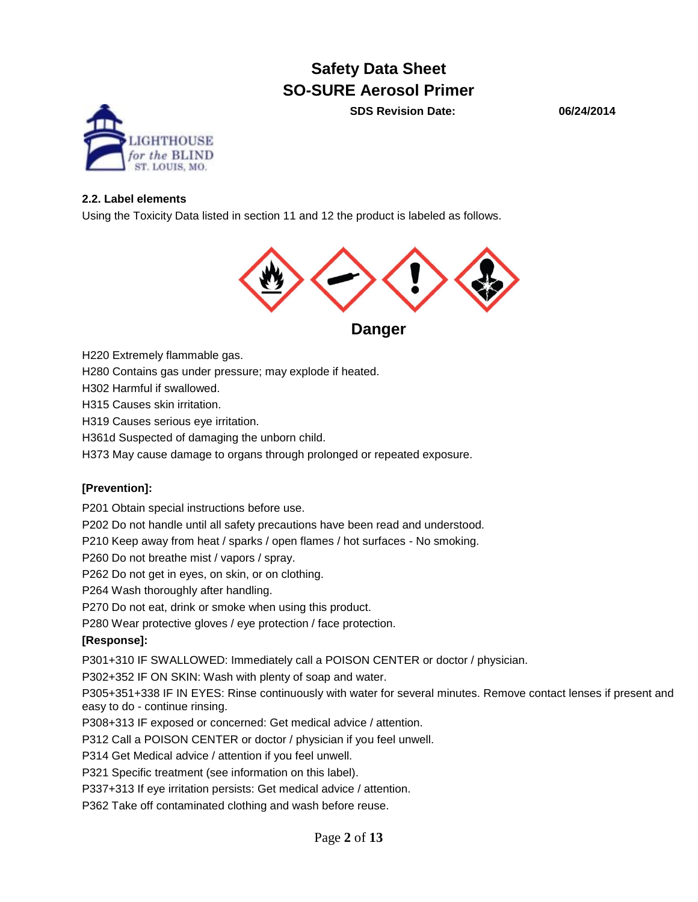**SDS Revision Date: 06/24/2014**



#### **2.2. Label elements**

Using the Toxicity Data listed in section 11 and 12 the product is labeled as follows.



**Danger** 

H220 Extremely flammable gas.

H280 Contains gas under pressure; may explode if heated.

H302 Harmful if swallowed.

H315 Causes skin irritation.

H319 Causes serious eye irritation.

H361d Suspected of damaging the unborn child.

H373 May cause damage to organs through prolonged or repeated exposure.

#### **[Prevention]:**

P201 Obtain special instructions before use.

P202 Do not handle until all safety precautions have been read and understood.

P210 Keep away from heat / sparks / open flames / hot surfaces - No smoking.

P260 Do not breathe mist / vapors / spray.

P262 Do not get in eyes, on skin, or on clothing.

P264 Wash thoroughly after handling.

P270 Do not eat, drink or smoke when using this product.

P280 Wear protective gloves / eye protection / face protection.

#### **[Response]:**

P301+310 IF SWALLOWED: Immediately call a POISON CENTER or doctor / physician.

P302+352 IF ON SKIN: Wash with plenty of soap and water.

P305+351+338 IF IN EYES: Rinse continuously with water for several minutes. Remove contact lenses if present and easy to do - continue rinsing.

P308+313 IF exposed or concerned: Get medical advice / attention.

P312 Call a POISON CENTER or doctor / physician if you feel unwell.

P314 Get Medical advice / attention if you feel unwell.

P321 Specific treatment (see information on this label).

P337+313 If eye irritation persists: Get medical advice / attention.

P362 Take off contaminated clothing and wash before reuse.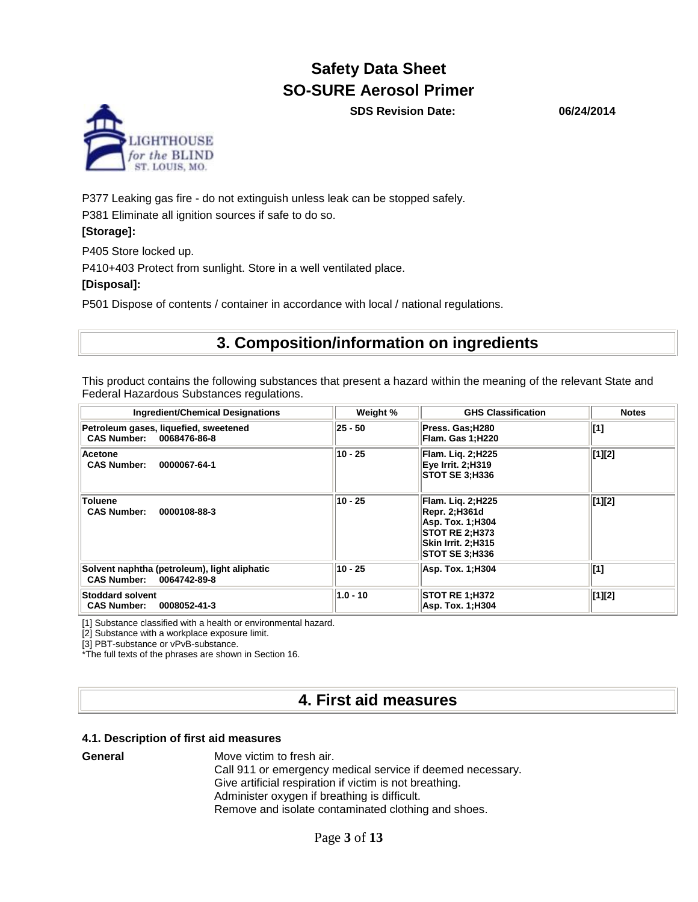**SDS Revision Date: 06/24/2014**



P377 Leaking gas fire - do not extinguish unless leak can be stopped safely. P381 Eliminate all ignition sources if safe to do so.

#### **[Storage]:**

P405 Store locked up.

P410+403 Protect from sunlight. Store in a well ventilated place.

#### **[Disposal]:**

P501 Dispose of contents / container in accordance with local / national regulations.

## **3. Composition/information on ingredients**

This product contains the following substances that present a hazard within the meaning of the relevant State and Federal Hazardous Substances regulations.

| <b>Ingredient/Chemical Designations</b>                                  | Weight %   | <b>GHS Classification</b>                                                                                                                      | <b>Notes</b>    |
|--------------------------------------------------------------------------|------------|------------------------------------------------------------------------------------------------------------------------------------------------|-----------------|
| Petroleum gases, liquefied, sweetened<br>CAS Number: 0068476-86-8        | 25 - 50    | Press. Gas;H280<br> Flam. Gas 1;H220                                                                                                           | [1]             |
| Acetone<br><b>CAS Number:</b><br>0000067-64-1                            | 10 - 25    | Flam. Lig. 2;H225<br>Eye Irrit. 2;H319<br><b>STOT SE 3, H336</b>                                                                               | $[1]$ [2]       |
| <b>Toluene</b><br><b>CAS Number:</b><br>0000108-88-3                     | 10 - 25    | <b>Flam. Lig. 2;H225</b><br><b>Repr. 2;H361d</b><br>Asp. Tox. 1;H304<br><b>STOT RE 2; H373</b><br>Skin Irrit. 2;H315<br><b>STOT SE 3, H336</b> | $[1]$ [2]       |
| Solvent naphtha (petroleum), light aliphatic<br>CAS Number: 0064742-89-8 | 10 - 25    | Asp. Tox. 1;H304                                                                                                                               | $\vert$ [1]     |
| <b>Stoddard solvent</b><br><b>CAS Number:</b><br>0008052-41-3            | $1.0 - 10$ | <b>STOT RE 1, H372</b><br>Asp. Tox. 1;H304                                                                                                     | $\vert [1]$ [2] |

[1] Substance classified with a health or environmental hazard.

[2] Substance with a workplace exposure limit.

[3] PBT-substance or vPvB-substance.

\*The full texts of the phrases are shown in Section 16.

## **4. First aid measures**

#### **4.1. Description of first aid measures**

**General** Move victim to fresh air.

Call 911 or emergency medical service if deemed necessary. Give artificial respiration if victim is not breathing. Administer oxygen if breathing is difficult. Remove and isolate contaminated clothing and shoes.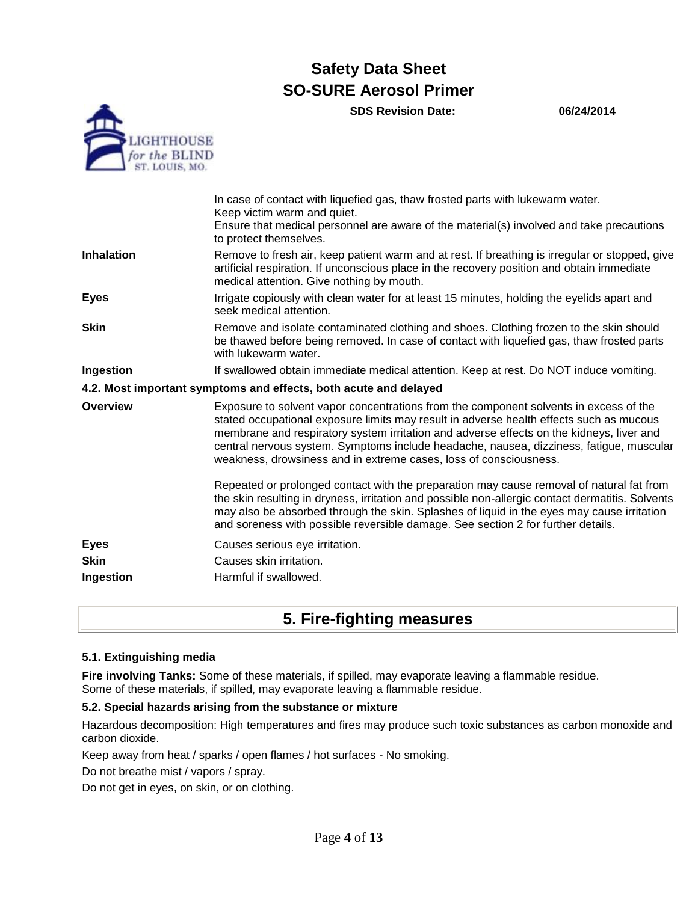**SDS Revision Date: 06/24/2014**



|                   | In case of contact with liquefied gas, thaw frosted parts with lukewarm water.<br>Keep victim warm and quiet.                                                                                                                                                                                                                                                                                                                                |
|-------------------|----------------------------------------------------------------------------------------------------------------------------------------------------------------------------------------------------------------------------------------------------------------------------------------------------------------------------------------------------------------------------------------------------------------------------------------------|
|                   | Ensure that medical personnel are aware of the material(s) involved and take precautions<br>to protect themselves.                                                                                                                                                                                                                                                                                                                           |
| <b>Inhalation</b> | Remove to fresh air, keep patient warm and at rest. If breathing is irregular or stopped, give<br>artificial respiration. If unconscious place in the recovery position and obtain immediate<br>medical attention. Give nothing by mouth.                                                                                                                                                                                                    |
| <b>Eyes</b>       | Irrigate copiously with clean water for at least 15 minutes, holding the eyelids apart and<br>seek medical attention.                                                                                                                                                                                                                                                                                                                        |
| <b>Skin</b>       | Remove and isolate contaminated clothing and shoes. Clothing frozen to the skin should<br>be thawed before being removed. In case of contact with liquefied gas, thaw frosted parts<br>with lukewarm water.                                                                                                                                                                                                                                  |
| Ingestion         | If swallowed obtain immediate medical attention. Keep at rest. Do NOT induce vomiting.                                                                                                                                                                                                                                                                                                                                                       |
|                   | 4.2. Most important symptoms and effects, both acute and delayed                                                                                                                                                                                                                                                                                                                                                                             |
| <b>Overview</b>   | Exposure to solvent vapor concentrations from the component solvents in excess of the<br>stated occupational exposure limits may result in adverse health effects such as mucous<br>membrane and respiratory system irritation and adverse effects on the kidneys, liver and<br>central nervous system. Symptoms include headache, nausea, dizziness, fatigue, muscular<br>weakness, drowsiness and in extreme cases, loss of consciousness. |
|                   | Repeated or prolonged contact with the preparation may cause removal of natural fat from<br>the skin resulting in dryness, irritation and possible non-allergic contact dermatitis. Solvents<br>may also be absorbed through the skin. Splashes of liquid in the eyes may cause irritation<br>and soreness with possible reversible damage. See section 2 for further details.                                                               |
| <b>Eyes</b>       | Causes serious eye irritation.                                                                                                                                                                                                                                                                                                                                                                                                               |
| <b>Skin</b>       | Causes skin irritation.                                                                                                                                                                                                                                                                                                                                                                                                                      |
| Ingestion         | Harmful if swallowed.                                                                                                                                                                                                                                                                                                                                                                                                                        |

## **5. Fire-fighting measures**

#### **5.1. Extinguishing media**

**Fire involving Tanks:** Some of these materials, if spilled, may evaporate leaving a flammable residue. Some of these materials, if spilled, may evaporate leaving a flammable residue.

#### **5.2. Special hazards arising from the substance or mixture**

Hazardous decomposition: High temperatures and fires may produce such toxic substances as carbon monoxide and carbon dioxide.

Keep away from heat / sparks / open flames / hot surfaces - No smoking.

Do not breathe mist / vapors / spray.

Do not get in eyes, on skin, or on clothing.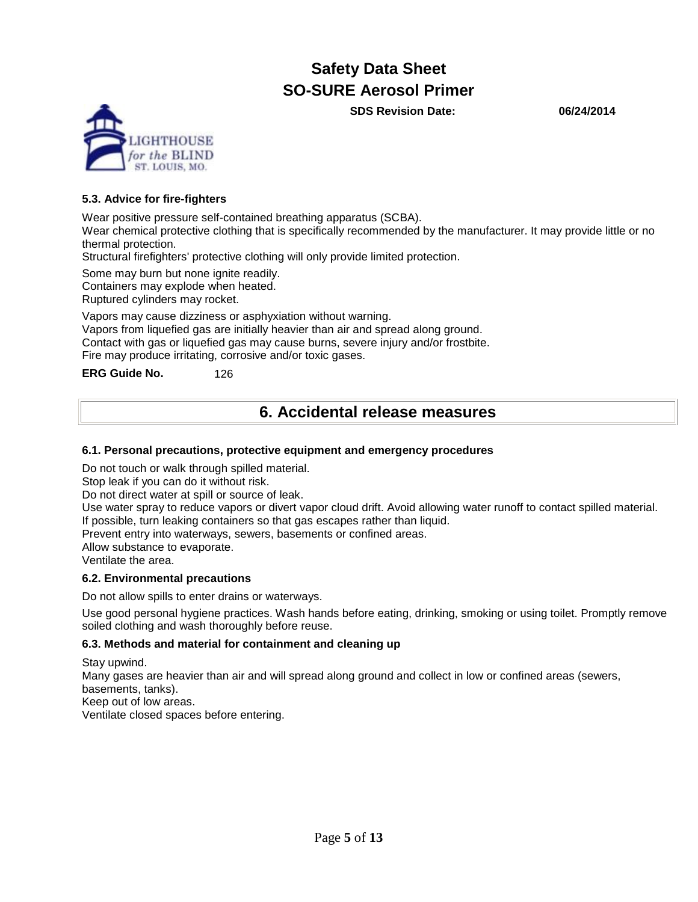**SDS Revision Date: 06/24/2014**



#### **5.3. Advice for fire-fighters**

Wear positive pressure self-contained breathing apparatus (SCBA).

Wear chemical protective clothing that is specifically recommended by the manufacturer. It may provide little or no thermal protection.

Structural firefighters' protective clothing will only provide limited protection.

Some may burn but none ignite readily.

Containers may explode when heated.

Ruptured cylinders may rocket.

Vapors may cause dizziness or asphyxiation without warning.

Vapors from liquefied gas are initially heavier than air and spread along ground.

Contact with gas or liquefied gas may cause burns, severe injury and/or frostbite.

Fire may produce irritating, corrosive and/or toxic gases.

**ERG Guide No.** 126

## **6. Accidental release measures**

#### **6.1. Personal precautions, protective equipment and emergency procedures**

Do not touch or walk through spilled material.

Stop leak if you can do it without risk.

Do not direct water at spill or source of leak.

Use water spray to reduce vapors or divert vapor cloud drift. Avoid allowing water runoff to contact spilled material. If possible, turn leaking containers so that gas escapes rather than liquid.

Prevent entry into waterways, sewers, basements or confined areas.

Allow substance to evaporate.

Ventilate the area.

#### **6.2. Environmental precautions**

Do not allow spills to enter drains or waterways.

Use good personal hygiene practices. Wash hands before eating, drinking, smoking or using toilet. Promptly remove soiled clothing and wash thoroughly before reuse.

#### **6.3. Methods and material for containment and cleaning up**

Stay upwind.

Many gases are heavier than air and will spread along ground and collect in low or confined areas (sewers, basements, tanks).

Keep out of low areas.

Ventilate closed spaces before entering.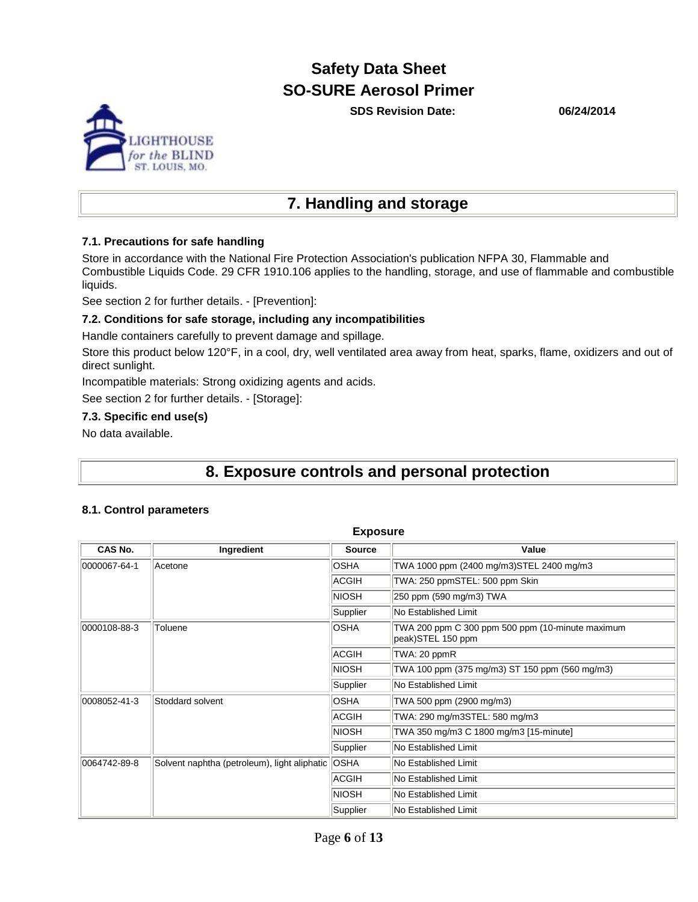**SDS Revision Date: 06/24/2014**



#### **7.1. Precautions for safe handling**

Store in accordance with the National Fire Protection Association's publication NFPA 30, Flammable and Combustible Liquids Code. 29 CFR 1910.106 applies to the handling, storage, and use of flammable and combustible liquids.

See section 2 for further details. - [Prevention]:

#### **7.2. Conditions for safe storage, including any incompatibilities**

Handle containers carefully to prevent damage and spillage.

Store this product below 120°F, in a cool, dry, well ventilated area away from heat, sparks, flame, oxidizers and out of direct sunlight.

Incompatible materials: Strong oxidizing agents and acids.

See section 2 for further details. - [Storage]:

#### **7.3. Specific end use(s)**

No data available.

## **8. Exposure controls and personal protection**

#### **8.1. Control parameters**

| <b>Exposure</b>                  |                                              |               |                                                                       |  |
|----------------------------------|----------------------------------------------|---------------|-----------------------------------------------------------------------|--|
| CAS No.                          | Ingredient                                   | <b>Source</b> | Value                                                                 |  |
| 0000067-64-1                     | Acetone                                      | <b>OSHA</b>   | TWA 1000 ppm (2400 mg/m3)STEL 2400 mg/m3                              |  |
|                                  |                                              | <b>ACGIH</b>  | TWA: 250 ppmSTEL: 500 ppm Skin                                        |  |
|                                  |                                              | <b>NIOSH</b>  | 250 ppm (590 mg/m3) TWA                                               |  |
|                                  |                                              | Supplier      | No Established Limit                                                  |  |
| 0000108-88-3                     | Toluene                                      | <b>OSHA</b>   | TWA 200 ppm C 300 ppm 500 ppm (10-minute maximum<br>peak)STEL 150 ppm |  |
|                                  |                                              | ACGIH         | TWA: 20 ppmR                                                          |  |
|                                  |                                              | <b>NIOSH</b>  | TWA 100 ppm (375 mg/m3) ST 150 ppm (560 mg/m3)                        |  |
|                                  |                                              | Supplier      | No Established Limit                                                  |  |
| 0008052-41-3<br>Stoddard solvent |                                              | <b>OSHA</b>   | TWA 500 ppm (2900 mg/m3)                                              |  |
|                                  |                                              | <b>ACGIH</b>  | TWA: 290 mg/m3STEL: 580 mg/m3                                         |  |
|                                  |                                              | <b>NIOSH</b>  | TWA 350 mg/m3 C 1800 mg/m3 [15-minute]                                |  |
|                                  |                                              | Supplier      | No Established Limit                                                  |  |
| 0064742-89-8                     | Solvent naphtha (petroleum), light aliphatic | <b>OSHA</b>   | No Established Limit                                                  |  |
|                                  |                                              | <b>ACGIH</b>  | No Established Limit                                                  |  |
|                                  |                                              | <b>NIOSH</b>  | No Established Limit                                                  |  |
|                                  |                                              | Supplier      | No Established Limit                                                  |  |

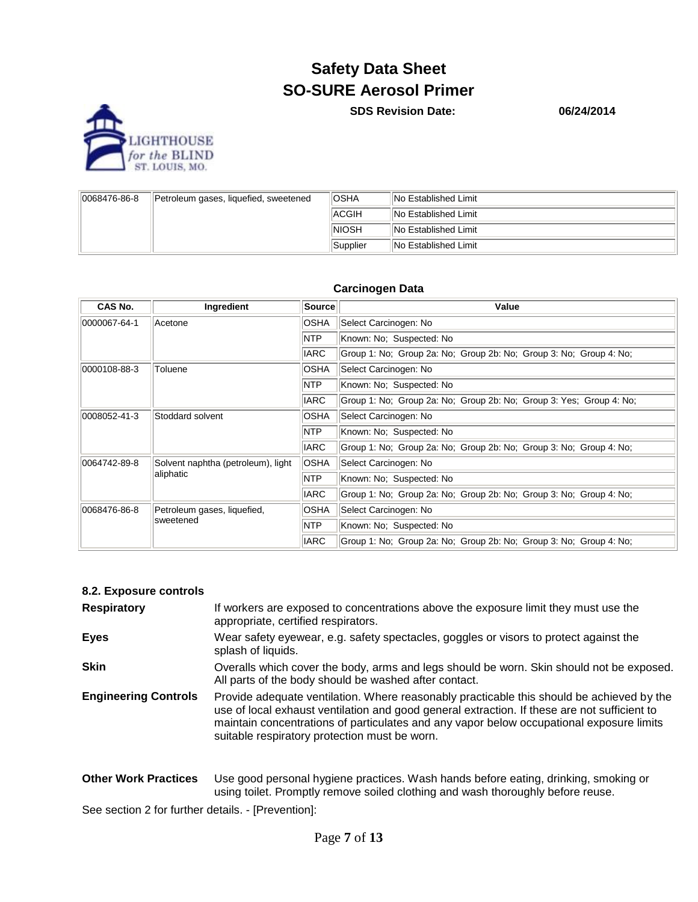

**SDS Revision Date: 06/24/2014**

| 0068476-86-8 | Petroleum gases, liquefied, sweetened | <b>IOSHA</b> | INo Established Limit        |
|--------------|---------------------------------------|--------------|------------------------------|
|              |                                       | <b>ACGIH</b> | <b>INo Established Limit</b> |
|              |                                       | <b>NIOSH</b> | INo Established Limit        |
|              |                                       | Supplier     | INo Established Limit        |

#### **Carcinogen Data**

| CAS No.                                                   | Ingredient                         | Source                                                                            | Value                                                               |  |  |
|-----------------------------------------------------------|------------------------------------|-----------------------------------------------------------------------------------|---------------------------------------------------------------------|--|--|
| 0000067-64-1                                              | Acetone                            | <b>OSHA</b>                                                                       | Select Carcinogen: No                                               |  |  |
|                                                           |                                    | <b>NTP</b>                                                                        | Known: No; Suspected: No                                            |  |  |
|                                                           |                                    | <b>IARC</b>                                                                       | Group 1: No; Group 2a: No; Group 2b: No; Group 3: No; Group 4: No;  |  |  |
| 0000108-88-3                                              | Toluene                            | <b>OSHA</b>                                                                       | Select Carcinogen: No                                               |  |  |
|                                                           |                                    | <b>NTP</b>                                                                        | Known: No; Suspected: No                                            |  |  |
|                                                           |                                    | <b>IARC</b>                                                                       | Group 1: No; Group 2a: No; Group 2b: No; Group 3: Yes; Group 4: No; |  |  |
| 0008052-41-3<br>Stoddard solvent                          |                                    | <b>OSHA</b>                                                                       | Select Carcinogen: No                                               |  |  |
|                                                           |                                    | <b>NTP</b>                                                                        | Known: No: Suspected: No                                            |  |  |
|                                                           |                                    | <b>IARC</b>                                                                       | Group 1: No; Group 2a: No; Group 2b: No; Group 3: No; Group 4: No;  |  |  |
| 0064742-89-8                                              | Solvent naphtha (petroleum), light | <b>OSHA</b>                                                                       | Select Carcinogen: No                                               |  |  |
|                                                           | aliphatic                          | <b>NTP</b>                                                                        | Known: No; Suspected: No                                            |  |  |
|                                                           |                                    | <b>IARC</b>                                                                       | Group 1: No; Group 2a: No; Group 2b: No; Group 3: No; Group 4: No;  |  |  |
| 0068476-86-8<br>Petroleum gases, liquefied,<br>lsweetened |                                    | <b>OSHA</b>                                                                       | Select Carcinogen: No                                               |  |  |
|                                                           |                                    | <b>NTP</b>                                                                        | Known: No; Suspected: No                                            |  |  |
|                                                           |                                    | <b>IARC</b><br>Group 1: No; Group 2a: No; Group 2b: No; Group 3: No; Group 4: No; |                                                                     |  |  |

#### **8.2. Exposure controls**

| <b>Respiratory</b>          | If workers are exposed to concentrations above the exposure limit they must use the<br>appropriate, certified respirators.                                                                                                                                                                                                             |
|-----------------------------|----------------------------------------------------------------------------------------------------------------------------------------------------------------------------------------------------------------------------------------------------------------------------------------------------------------------------------------|
| <b>Eyes</b>                 | Wear safety eyewear, e.g. safety spectacles, goggles or visors to protect against the<br>splash of liquids.                                                                                                                                                                                                                            |
| <b>Skin</b>                 | Overalls which cover the body, arms and legs should be worn. Skin should not be exposed.<br>All parts of the body should be washed after contact.                                                                                                                                                                                      |
| <b>Engineering Controls</b> | Provide adequate ventilation. Where reasonably practicable this should be achieved by the<br>use of local exhaust ventilation and good general extraction. If these are not sufficient to<br>maintain concentrations of particulates and any vapor below occupational exposure limits<br>suitable respiratory protection must be worn. |
| <b>Other Work Practices</b> | Use good personal hygiene practices. Wash hands before eating, drinking, smoking or                                                                                                                                                                                                                                                    |

using toilet. Promptly remove soiled clothing and wash thoroughly before reuse.

See section 2 for further details. - [Prevention]: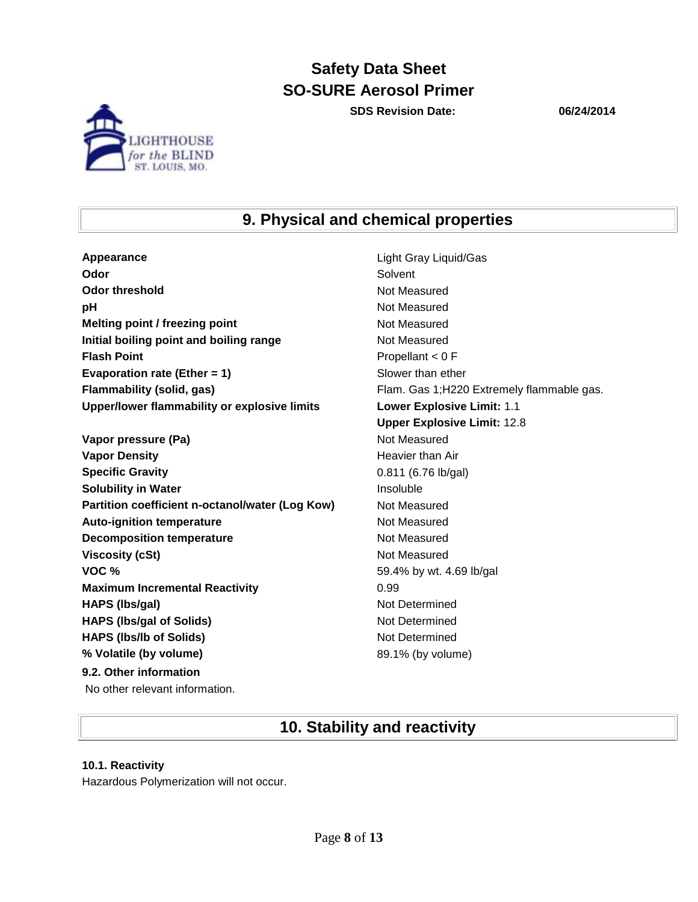**SDS Revision Date: 06/24/2014**



## **9. Physical and chemical properties**

**Appearance** Light Gray Light Gray Liquid/Gas **Odor** Solvent **Odor threshold** Not Measured **pH** Not Measured **Melting point / freezing point**  Not Measured **Initial boiling point and boiling range Mot Measured Results Flash Point** Propellant < 0 F **Evaporation rate (Ether = 1)** Slower than ether **Flammability (solid, gas)** Flam. Gas 1;H220 Extremely flammable gas. **Upper/lower flammability or explosive limits Lower Explosive Limit:** 1.1

**Vapor pressure (Pa)** Not Measured **Vapor Density Heavier than Air Heavier than Air Specific Gravity** 0.811 (6.76 lb/gal) **Solubility in Water Insoluble Partition coefficient n-octanol/water (Log Kow)** Not Measured Auto-ignition temperature **Not Measured** Not Measured **Decomposition temperature** Not Measured **Viscosity (cSt)** Not Measured **VOC %** 59.4% by wt. 4.69 lb/gal **Maximum Incremental Reactivity 10.99 HAPS (lbs/gal)** Not Determined **HAPS (lbs/gal of Solids)** Not Determined **HAPS (lbs/lb of Solids)** Not Determined **% Volatile (by volume)** 89.1% (by volume) **9.2. Other information** No other relevant information.

**Upper Explosive Limit:** 12.8

## **10. Stability and reactivity**

#### **10.1. Reactivity**

Hazardous Polymerization will not occur.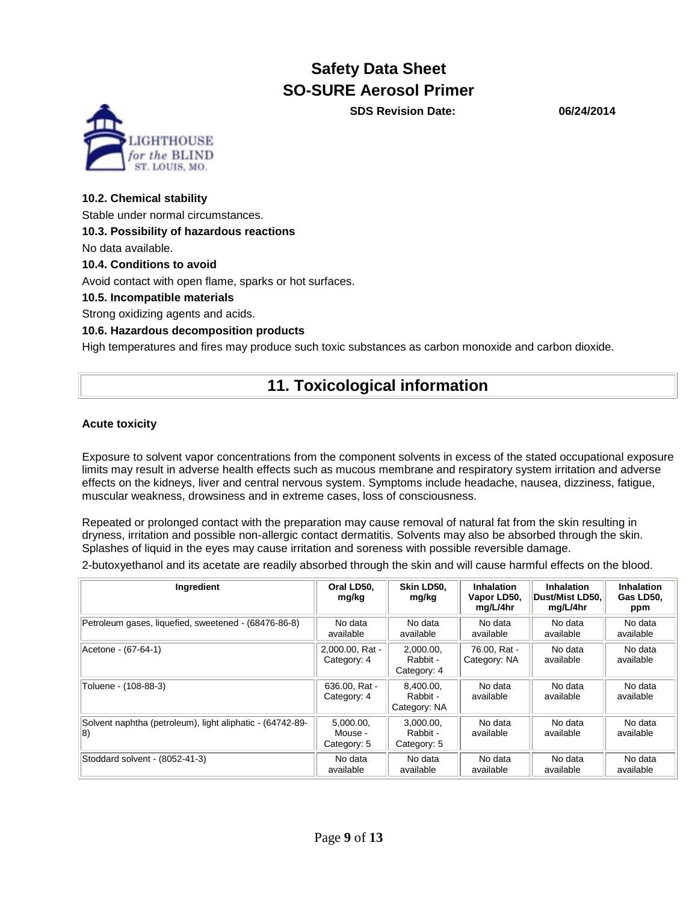**SDS Revision Date: 06/24/2014**

# ST LOUIS MO

#### **10.2. Chemical stability**

Stable under normal circumstances.

#### **10.3. Possibility of hazardous reactions**

No data available.

#### **10.4. Conditions to avoid**

Avoid contact with open flame, sparks or hot surfaces.

**10.5. Incompatible materials**

Strong oxidizing agents and acids.

#### **10.6. Hazardous decomposition products**

High temperatures and fires may produce such toxic substances as carbon monoxide and carbon dioxide.

## **11. Toxicological information**

#### **Acute toxicity**

Exposure to solvent vapor concentrations from the component solvents in excess of the stated occupational exposure limits may result in adverse health effects such as mucous membrane and respiratory system irritation and adverse effects on the kidneys, liver and central nervous system. Symptoms include headache, nausea, dizziness, fatigue, muscular weakness, drowsiness and in extreme cases, loss of consciousness.

Repeated or prolonged contact with the preparation may cause removal of natural fat from the skin resulting in dryness, irritation and possible non-allergic contact dermatitis. Solvents may also be absorbed through the skin. Splashes of liquid in the eyes may cause irritation and soreness with possible reversible damage.

2-butoxyethanol and its acetate are readily absorbed through the skin and will cause harmful effects on the blood.

| Ingredient                                                       | Oral LD50.<br>mg/kg                 | Skin LD50.<br>mg/kg                   | <b>Inhalation</b><br>Vapor LD50,<br>mg/L/4hr | <b>Inhalation</b><br>Dust/Mist LD50.<br>mg/L/4hr | Inhalation<br>Gas LD50.<br>ppm |
|------------------------------------------------------------------|-------------------------------------|---------------------------------------|----------------------------------------------|--------------------------------------------------|--------------------------------|
| Petroleum gases, liquefied, sweetened - (68476-86-8)             | No data<br>available                | No data<br>available                  | No data<br>available                         | No data<br>available                             | No data<br>available           |
| Acetone - (67-64-1)                                              | 2.000.00. Rat -<br>Category: 4      | 2.000.00.<br>Rabbit -<br>Category: 4  | 76.00, Rat -<br>Category: NA                 | No data<br>available                             | No data<br>available           |
| Toluene - (108-88-3)                                             | 636.00. Rat -<br>Category: 4        | 8.400.00.<br>Rabbit -<br>Category: NA | No data<br>available                         | No data<br>available                             | No data<br>available           |
| Solvent naphtha (petroleum), light aliphatic - (64742-89-<br>18) | 5.000.00.<br>Mouse -<br>Category: 5 | 3.000.00.<br>Rabbit -<br>Category: 5  | No data<br>available                         | No data<br>available                             | No data<br>available           |
| Stoddard solvent - (8052-41-3)                                   | No data<br>available                | No data<br>available                  | No data<br>available                         | No data<br>available                             | No data<br>available           |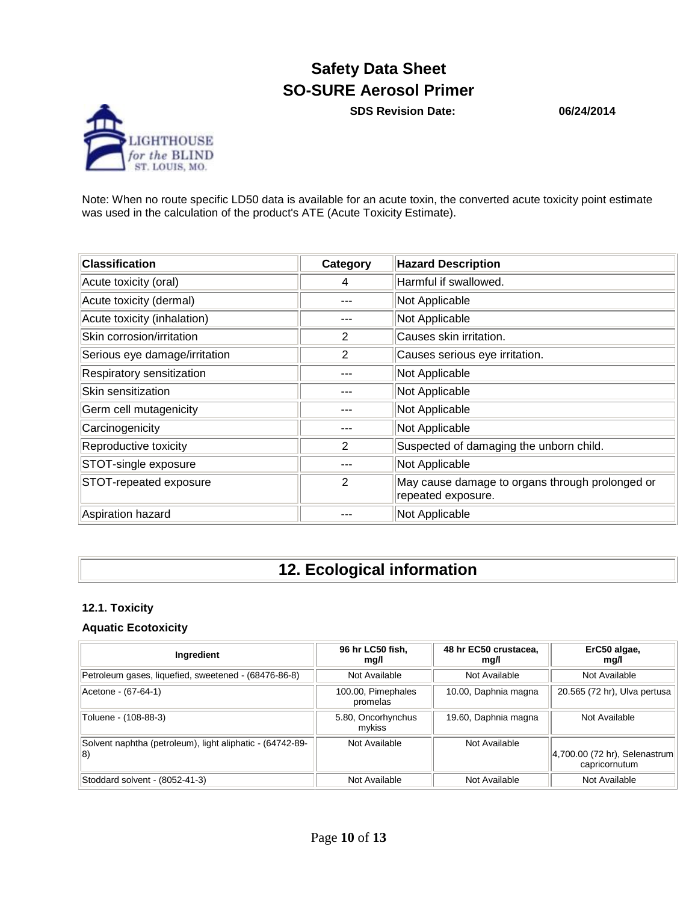**SDS Revision Date: 06/24/2014**



Note: When no route specific LD50 data is available for an acute toxin, the converted acute toxicity point estimate was used in the calculation of the product's ATE (Acute Toxicity Estimate).

| <b>Classification</b>         | Category       | <b>Hazard Description</b>                                             |
|-------------------------------|----------------|-----------------------------------------------------------------------|
| Acute toxicity (oral)         | 4              | Harmful if swallowed.                                                 |
| Acute toxicity (dermal)       |                | Not Applicable                                                        |
| Acute toxicity (inhalation)   |                | Not Applicable                                                        |
| Skin corrosion/irritation     | 2              | Causes skin irritation.                                               |
| Serious eye damage/irritation | 2              | Causes serious eye irritation.                                        |
| Respiratory sensitization     |                | Not Applicable                                                        |
| Skin sensitization            |                | Not Applicable                                                        |
| Germ cell mutagenicity        |                | Not Applicable                                                        |
| Carcinogenicity               |                | Not Applicable                                                        |
| Reproductive toxicity         | 2              | Suspected of damaging the unborn child.                               |
| STOT-single exposure          |                | Not Applicable                                                        |
| STOT-repeated exposure        | $\overline{2}$ | May cause damage to organs through prolonged or<br>repeated exposure. |
| Aspiration hazard             |                | Not Applicable                                                        |

## **12. Ecological information**

#### **12.1. Toxicity**

#### **Aquatic Ecotoxicity**

| Ingredient                                                               | 96 hr LC50 fish,<br>mg/l       | 48 hr EC50 crustacea.<br>mg/l | ErC50 algae,<br>mg/l                           |
|--------------------------------------------------------------------------|--------------------------------|-------------------------------|------------------------------------------------|
| Petroleum gases, liquefied, sweetened - (68476-86-8)                     | Not Available                  | Not Available                 | Not Available                                  |
| Acetone - (67-64-1)                                                      | 100.00, Pimephales<br>promelas | 10.00, Daphnia magna          | 20.565 (72 hr), Ulva pertusa                   |
| Toluene - (108-88-3)                                                     | 5.80, Oncorhynchus<br>mvkiss   | 19.60, Daphnia magna          | Not Available                                  |
| Solvent naphtha (petroleum), light aliphatic - (64742-89-<br>$ 8\rangle$ | Not Available                  | Not Available                 | 4,700.00 (72 hr), Selenastrum<br>capricornutum |
| Stoddard solvent - (8052-41-3)                                           | Not Available                  | Not Available                 | Not Available                                  |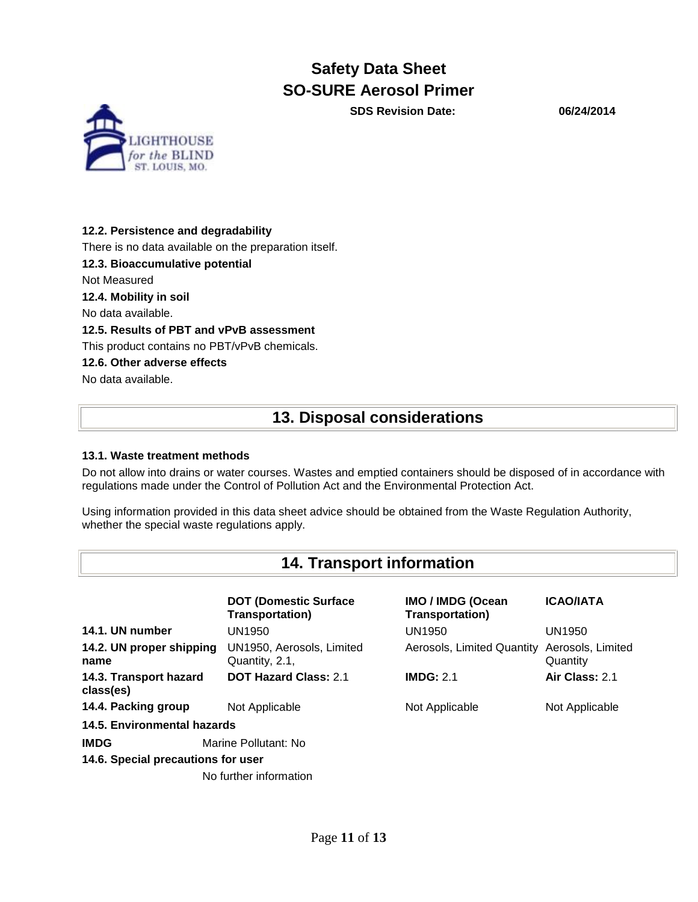**SDS Revision Date: 06/24/2014**



#### **12.2. Persistence and degradability**

There is no data available on the preparation itself.

**12.3. Bioaccumulative potential**

Not Measured

**12.4. Mobility in soil**

No data available.

#### **12.5. Results of PBT and vPvB assessment**

This product contains no PBT/vPvB chemicals.

#### **12.6. Other adverse effects**

No data available.

## **13. Disposal considerations**

#### **13.1. Waste treatment methods**

Do not allow into drains or water courses. Wastes and emptied containers should be disposed of in accordance with regulations made under the Control of Pollution Act and the Environmental Protection Act.

Using information provided in this data sheet advice should be obtained from the Waste Regulation Authority, whether the special waste regulations apply.

## **14. Transport information**

|                                     | <b>DOT (Domestic Surface</b><br><b>Transportation)</b> | IMO / IMDG (Ocean<br><b>Transportation)</b> | <b>ICAO/IATA</b>              |
|-------------------------------------|--------------------------------------------------------|---------------------------------------------|-------------------------------|
| 14.1. UN number                     | UN1950                                                 | UN1950                                      | UN1950                        |
| 14.2. UN proper shipping<br>name    | UN1950, Aerosols, Limited<br>Quantity, 2.1,            | Aerosols, Limited Quantity                  | Aerosols, Limited<br>Quantity |
| 14.3. Transport hazard<br>class(es) | <b>DOT Hazard Class: 2.1</b>                           | IMDG: 2.1                                   | Air Class: 2.1                |
| 14.4. Packing group                 | Not Applicable                                         | Not Applicable                              | Not Applicable                |
| 14.5. Environmental hazards         |                                                        |                                             |                               |
| <b>IMDG</b>                         | Marine Pollutant: No                                   |                                             |                               |
| 14.6. Special precautions for user  |                                                        |                                             |                               |
|                                     | No further information                                 |                                             |                               |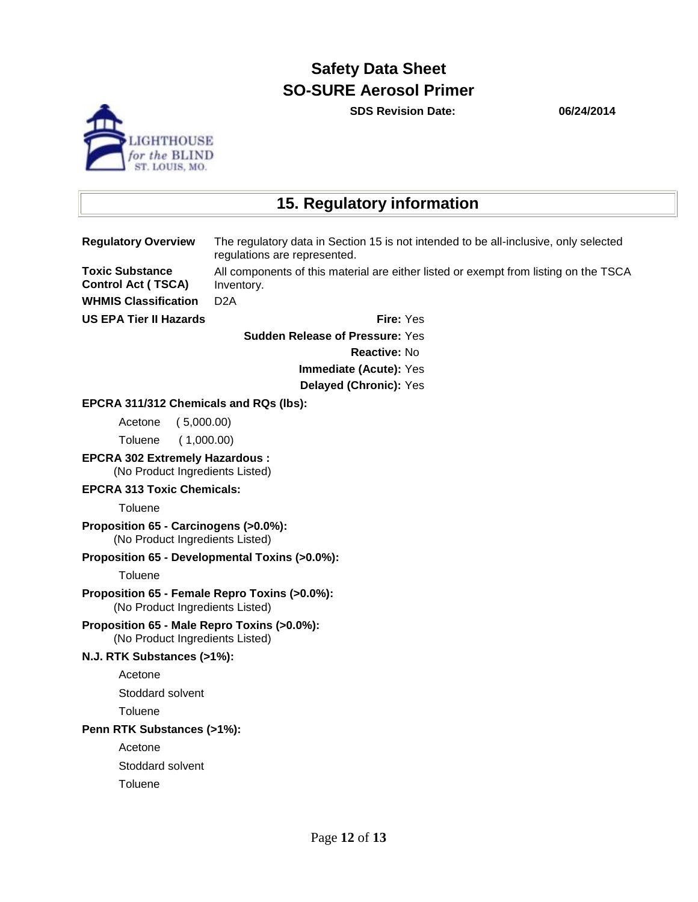**SDS Revision Date: 06/24/2014**



## **15. Regulatory information**

**Regulatory Overview** The regulatory data in Section 15 is not intended to be all-inclusive, only selected regulations are represented. **Toxic Substance** 

All components of this material are either listed or exempt from listing on the TSCA Inventory.

**WHMIS Classification** D2A

**Control Act ( TSCA)**

**US EPA Tier II Hazards Fire:** Yes

**Sudden Release of Pressure:** Yes

**Reactive:** No

**Immediate (Acute):** Yes

**Delayed (Chronic):** Yes

#### **EPCRA 311/312 Chemicals and RQs (lbs):**

Acetone ( 5,000.00)

Toluene ( 1,000.00)

**EPCRA 302 Extremely Hazardous :** (No Product Ingredients Listed)

#### **EPCRA 313 Toxic Chemicals:**

**Toluene** 

**Proposition 65 - Carcinogens (>0.0%):**  (No Product Ingredients Listed)

#### **Proposition 65 - Developmental Toxins (>0.0%):**

**Toluene** 

#### **Proposition 65 - Female Repro Toxins (>0.0%):** (No Product Ingredients Listed)

**Proposition 65 - Male Repro Toxins (>0.0%):** (No Product Ingredients Listed)

#### **N.J. RTK Substances (>1%):**

Acetone

Stoddard solvent

**Toluene** 

#### **Penn RTK Substances (>1%):**

Acetone

Stoddard solvent

**Toluene**